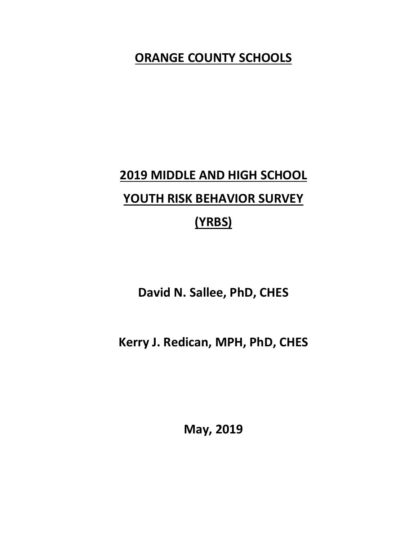## **ORANGE COUNTY SCHOOLS**

# **2019 MIDDLE AND HIGH SCHOOL YOUTH RISK BEHAVIOR SURVEY (YRBS)**

**David N. Sallee, PhD, CHES**

**Kerry J. Redican, MPH, PhD, CHES**

**May, 2019**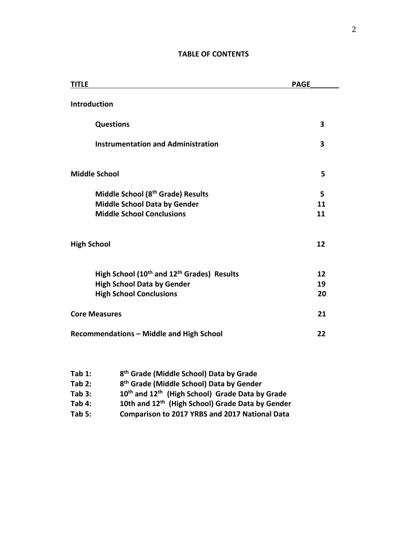| <b>TITLE</b>                                                       | <b>PAGE</b> |  |
|--------------------------------------------------------------------|-------------|--|
| <b>Introduction</b>                                                |             |  |
| <b>Questions</b>                                                   | 3           |  |
| <b>Instrumentation and Administration</b>                          | 3           |  |
| <b>Middle School</b>                                               | 5           |  |
| Middle School (8 <sup>th</sup> Grade) Results                      | 5           |  |
| <b>Middle School Data by Gender</b>                                | 11          |  |
| <b>Middle School Conclusions</b>                                   | 11          |  |
| <b>High School</b>                                                 | 12          |  |
| High School (10 <sup>th</sup> and 12 <sup>th</sup> Grades) Results | 12          |  |
| <b>High School Data by Gender</b>                                  | 19          |  |
| <b>High School Conclusions</b>                                     | 20          |  |
| <b>Core Measures</b>                                               |             |  |
| <b>Recommendations - Middle and High School</b><br>22              |             |  |

### **TABLE OF CONTENTS**

| Tab $1:$ | 8 <sup>th</sup> Grade (Middle School) Data by Grade                     |
|----------|-------------------------------------------------------------------------|
| Tab $2:$ | 8 <sup>th</sup> Grade (Middle School) Data by Gender                    |
| Tab 3:   | 10 <sup>th</sup> and 12 <sup>th</sup> (High School) Grade Data by Grade |
| Tab 4:   | 10th and 12th (High School) Grade Data by Gender                        |
| Tab 5:   | <b>Comparison to 2017 YRBS and 2017 National Data</b>                   |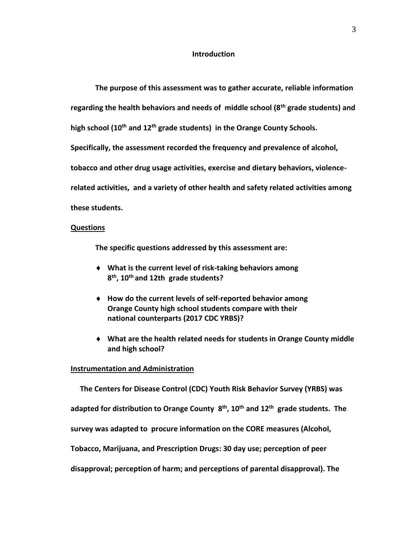#### **Introduction**

**The purpose of this assessment was to gather accurate, reliable information regarding the health behaviors and needs of middle school (8th grade students) and high school (10th and 12th grade students) in the Orange County Schools. Specifically, the assessment recorded the frequency and prevalence of alcohol, tobacco and other drug usage activities, exercise and dietary behaviors, violencerelated activities, and a variety of other health and safety related activities among these students.**

#### **Questions**

**The specific questions addressed by this assessment are:**

- **What is the current level of risk-taking behaviors among 8 th , 10th and 12th grade students?**
- **How do the current levels of self-reported behavior among Orange County high school students compare with their national counterparts (2017 CDC YRBS)?**
- **What are the health related needs for students in Orange County middle and high school?**

#### **Instrumentation and Administration**

 **The Centers for Disease Control (CDC) Youth Risk Behavior Survey (YRBS) was adapted for distribution to Orange County 8 th , 10th and 12th grade students. The survey was adapted to procure information on the CORE measures (Alcohol, Tobacco, Marijuana, and Prescription Drugs: 30 day use; perception of peer disapproval; perception of harm; and perceptions of parental disapproval). The**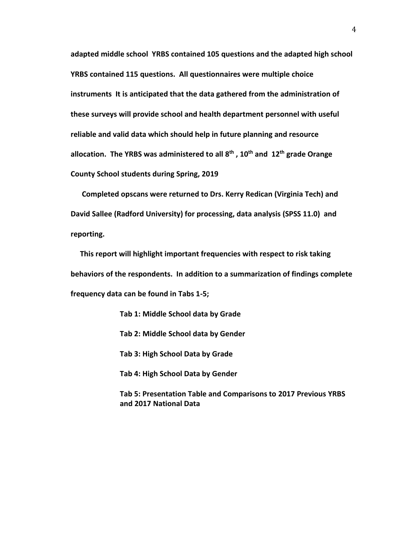**adapted middle school YRBS contained 105 questions and the adapted high school YRBS contained 115 questions. All questionnaires were multiple choice instruments It is anticipated that the data gathered from the administration of these surveys will provide school and health department personnel with useful reliable and valid data which should help in future planning and resource allocation. The YRBS was administered to all 8th , 10th and 12th grade Orange County School students during Spring, 2019**

 **Completed opscans were returned to Drs. Kerry Redican (Virginia Tech) and David Sallee (Radford University) for processing, data analysis (SPSS 11.0) and reporting.** 

 **This report will highlight important frequencies with respect to risk taking behaviors of the respondents. In addition to a summarization of findings complete frequency data can be found in Tabs 1-5;**

> **Tab 1: Middle School data by Grade Tab 2: Middle School data by Gender Tab 3: High School Data by Grade Tab 4: High School Data by Gender Tab 5: Presentation Table and Comparisons to 2017 Previous YRBS and 2017 National Data**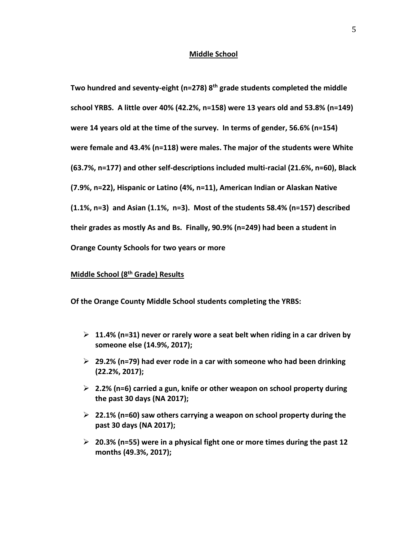#### **Middle School**

**Two hundred and seventy-eight (n=278) 8th grade students completed the middle school YRBS. A little over 40% (42.2%, n=158) were 13 years old and 53.8% (n=149) were 14 years old at the time of the survey. In terms of gender, 56.6% (n=154) were female and 43.4% (n=118) were males. The major of the students were White (63.7%, n=177) and other self-descriptions included multi-racial (21.6%, n=60), Black (7.9%, n=22), Hispanic or Latino (4%, n=11), American Indian or Alaskan Native (1.1%, n=3) and Asian (1.1%, n=3). Most of the students 58.4% (n=157) described their grades as mostly As and Bs. Finally, 90.9% (n=249) had been a student in Orange County Schools for two years or more**

#### **Middle School (8 th Grade) Results**

**Of the Orange County Middle School students completing the YRBS:**

- ➢ **11.4% (n=31) never or rarely wore a seat belt when riding in a car driven by someone else (14.9%, 2017);**
- ➢ **29.2% (n=79) had ever rode in a car with someone who had been drinking (22.2%, 2017);**
- ➢ **2.2% (n=6) carried a gun, knife or other weapon on school property during the past 30 days (NA 2017);**
- ➢ **22.1% (n=60) saw others carrying a weapon on school property during the past 30 days (NA 2017);**
- ➢ **20.3% (n=55) were in a physical fight one or more times during the past 12 months (49.3%, 2017);**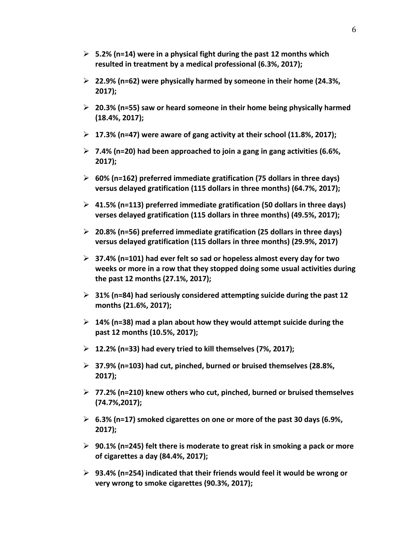- ➢ **5.2% (n=14) were in a physical fight during the past 12 months which resulted in treatment by a medical professional (6.3%, 2017);**
- ➢ **22.9% (n=62) were physically harmed by someone in their home (24.3%, 2017);**
- ➢ **20.3% (n=55) saw or heard someone in their home being physically harmed (18.4%, 2017);**
- ➢ **17.3% (n=47) were aware of gang activity at their school (11.8%, 2017);**
- ➢ **7.4% (n=20) had been approached to join a gang in gang activities (6.6%, 2017);**
- ➢ **60% (n=162) preferred immediate gratification (75 dollars in three days) versus delayed gratification (115 dollars in three months) (64.7%, 2017);**
- ➢ **41.5% (n=113) preferred immediate gratification (50 dollars in three days) verses delayed gratification (115 dollars in three months) (49.5%, 2017);**
- ➢ **20.8% (n=56) preferred immediate gratification (25 dollars in three days) versus delayed gratification (115 dollars in three months) (29.9%, 2017)**
- ➢ **37.4% (n=101) had ever felt so sad or hopeless almost every day for two weeks or more in a row that they stopped doing some usual activities during the past 12 months (27.1%, 2017);**
- ➢ **31% (n=84) had seriously considered attempting suicide during the past 12 months (21.6%, 2017);**
- ➢ **14% (n=38) mad a plan about how they would attempt suicide during the past 12 months (10.5%, 2017);**
- ➢ **12.2% (n=33) had every tried to kill themselves (7%, 2017);**
- ➢ **37.9% (n=103) had cut, pinched, burned or bruised themselves (28.8%, 2017);**
- ➢ **77.2% (n=210) knew others who cut, pinched, burned or bruised themselves (74.7%,2017);**
- ➢ **6.3% (n=17) smoked cigarettes on one or more of the past 30 days (6.9%, 2017);**
- ➢ **90.1% (n=245) felt there is moderate to great risk in smoking a pack or more of cigarettes a day (84.4%, 2017);**
- ➢ **93.4% (n=254) indicated that their friends would feel it would be wrong or very wrong to smoke cigarettes (90.3%, 2017);**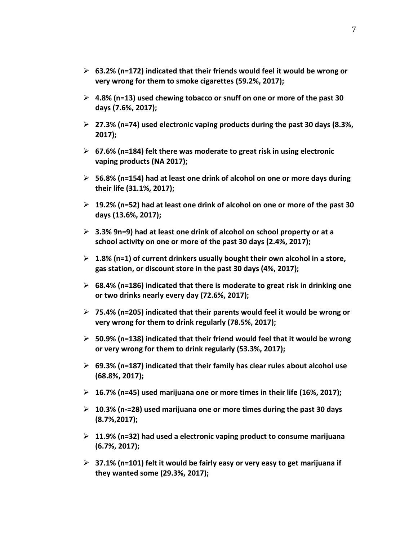- ➢ **63.2% (n=172) indicated that their friends would feel it would be wrong or very wrong for them to smoke cigarettes (59.2%, 2017);**
- ➢ **4.8% (n=13) used chewing tobacco or snuff on one or more of the past 30 days (7.6%, 2017);**
- ➢ **27.3% (n=74) used electronic vaping products during the past 30 days (8.3%, 2017);**
- ➢ **67.6% (n=184) felt there was moderate to great risk in using electronic vaping products (NA 2017);**
- ➢ **56.8% (n=154) had at least one drink of alcohol on one or more days during their life (31.1%, 2017);**
- ➢ **19.2% (n=52) had at least one drink of alcohol on one or more of the past 30 days (13.6%, 2017);**
- ➢ **3.3% 9n=9) had at least one drink of alcohol on school property or at a school activity on one or more of the past 30 days (2.4%, 2017);**
- ➢ **1.8% (n=1) of current drinkers usually bought their own alcohol in a store, gas station, or discount store in the past 30 days (4%, 2017);**
- ➢ **68.4% (n=186) indicated that there is moderate to great risk in drinking one or two drinks nearly every day (72.6%, 2017);**
- ➢ **75.4% (n=205) indicated that their parents would feel it would be wrong or very wrong for them to drink regularly (78.5%, 2017);**
- ➢ **50.9% (n=138) indicated that their friend would feel that it would be wrong or very wrong for them to drink regularly (53.3%, 2017);**
- ➢ **69.3% (n=187) indicated that their family has clear rules about alcohol use (68.8%, 2017);**
- ➢ **16.7% (n=45) used marijuana one or more times in their life (16%, 2017);**
- ➢ **10.3% (n-=28) used marijuana one or more times during the past 30 days (8.7%,2017);**
- ➢ **11.9% (n=32) had used a electronic vaping product to consume marijuana (6.7%, 2017);**
- ➢ **37.1% (n=101) felt it would be fairly easy or very easy to get marijuana if they wanted some (29.3%, 2017);**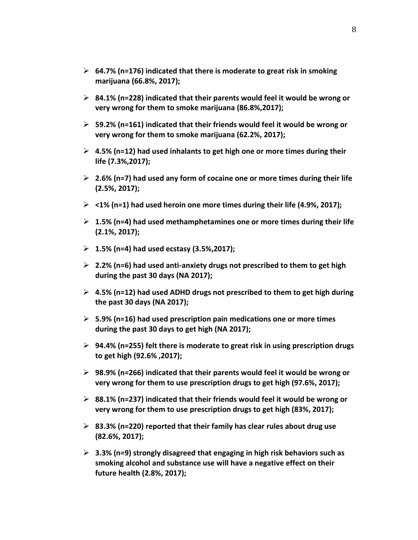- ➢ **64.7% (n=176) indicated that there is moderate to great risk in smoking marijuana (66.8%, 2017);**
- ➢ **84.1% (n=228) indicated that their parents would feel it would be wrong or very wrong for them to smoke marijuana (86.8%,2017);**
- ➢ **59.2% (n=161) indicated that their friends would feel it would be wrong or very wrong for them to smoke marijuana (62.2%, 2017);**
- ➢ **4.5% (n=12) had used inhalants to get high one or more times during their life (7.3%,2017);**
- ➢ **2.6% (n=7) had used any form of cocaine one or more times during their life (2.5%, 2017);**
- ➢ **<1% (n=1) had used heroin one more times during their life (4.9%, 2017);**
- ➢ **1.5% (n=4) had used methamphetamines one or more times during their life (2.1%, 2017);**
- ➢ **1.5% (n=4) had used ecstasy (3.5%,2017);**
- ➢ **2.2% (n=6) had used anti-anxiety drugs not prescribed to them to get high during the past 30 days (NA 2017);**
- ➢ **4.5% (n=12) had used ADHD drugs not prescribed to them to get high during the past 30 days (NA 2017);**
- ➢ **5.9% (n=16) had used prescription pain medications one or more times during the past 30 days to get high (NA 2017);**
- ➢ **94.4% (n=255) felt there is moderate to great risk in using prescription drugs to get high (92.6% ,2017);**
- ➢ **98.9% (n=266) indicated that their parents would feel it would be wrong or very wrong for them to use prescription drugs to get high (97.6%, 2017);**
- ➢ **88.1% (n=237) indicated that their friends would feel it would be wrong or very wrong for them to use prescription drugs to get high (83%, 2017);**
- ➢ **83.3% (n=220) reported that their family has clear rules about drug use (82.6%, 2017);**
- ➢ **3.3% (n=9) strongly disagreed that engaging in high risk behaviors such as smoking alcohol and substance use will have a negative effect on their future health (2.8%, 2017);**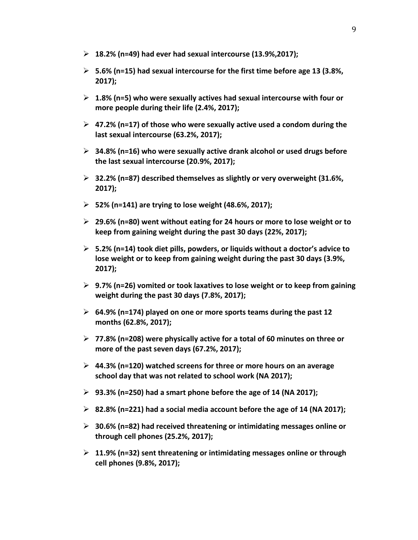- ➢ **18.2% (n=49) had ever had sexual intercourse (13.9%,2017);**
- ➢ **5.6% (n=15) had sexual intercourse for the first time before age 13 (3.8%, 2017);**
- ➢ **1.8% (n=5) who were sexually actives had sexual intercourse with four or more people during their life (2.4%, 2017);**
- ➢ **47.2% (n=17) of those who were sexually active used a condom during the last sexual intercourse (63.2%, 2017);**
- ➢ **34.8% (n=16) who were sexually active drank alcohol or used drugs before the last sexual intercourse (20.9%, 2017);**
- ➢ **32.2% (n=87) described themselves as slightly or very overweight (31.6%, 2017);**
- ➢ **52% (n=141) are trying to lose weight (48.6%, 2017);**
- ➢ **29.6% (n=80) went without eating for 24 hours or more to lose weight or to keep from gaining weight during the past 30 days (22%, 2017);**
- ➢ **5.2% (n=14) took diet pills, powders, or liquids without a doctor's advice to lose weight or to keep from gaining weight during the past 30 days (3.9%, 2017);**
- ➢ **9.7% (n=26) vomited or took laxatives to lose weight or to keep from gaining weight during the past 30 days (7.8%, 2017);**
- ➢ **64.9% (n=174) played on one or more sports teams during the past 12 months (62.8%, 2017);**
- ➢ **77.8% (n=208) were physically active for a total of 60 minutes on three or more of the past seven days (67.2%, 2017);**
- ➢ **44.3% (n=120) watched screens for three or more hours on an average school day that was not related to school work (NA 2017);**
- ➢ **93.3% (n=250) had a smart phone before the age of 14 (NA 2017);**
- ➢ **82.8% (n=221) had a social media account before the age of 14 (NA 2017);**
- ➢ **30.6% (n=82) had received threatening or intimidating messages online or through cell phones (25.2%, 2017);**
- ➢ **11.9% (n=32) sent threatening or intimidating messages online or through cell phones (9.8%, 2017);**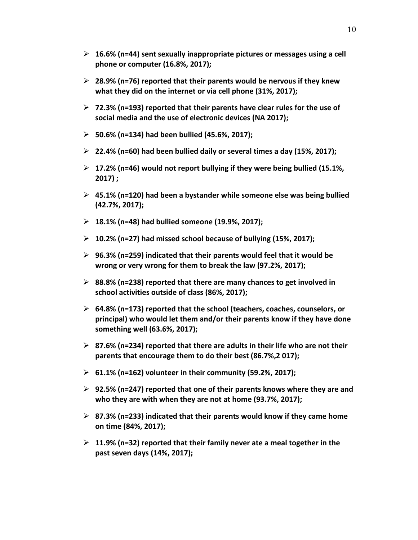- ➢ **16.6% (n=44) sent sexually inappropriate pictures or messages using a cell phone or computer (16.8%, 2017);**
- ➢ **28.9% (n=76) reported that their parents would be nervous if they knew what they did on the internet or via cell phone (31%, 2017);**
- ➢ **72.3% (n=193) reported that their parents have clear rules for the use of social media and the use of electronic devices (NA 2017);**
- ➢ **50.6% (n=134) had been bullied (45.6%, 2017);**
- ➢ **22.4% (n=60) had been bullied daily or several times a day (15%, 2017);**
- ➢ **17.2% (n=46) would not report bullying if they were being bullied (15.1%, 2017) ;**
- ➢ **45.1% (n=120) had been a bystander while someone else was being bullied (42.7%, 2017);**
- ➢ **18.1% (n=48) had bullied someone (19.9%, 2017);**
- ➢ **10.2% (n=27) had missed school because of bullying (15%, 2017);**
- ➢ **96.3% (n=259) indicated that their parents would feel that it would be wrong or very wrong for them to break the law (97.2%, 2017);**
- ➢ **88.8% (n=238) reported that there are many chances to get involved in school activities outside of class (86%, 2017);**
- ➢ **64.8% (n=173) reported that the school (teachers, coaches, counselors, or principal) who would let them and/or their parents know if they have done something well (63.6%, 2017);**
- ➢ **87.6% (n=234) reported that there are adults in their life who are not their parents that encourage them to do their best (86.7%,2 017);**
- ➢ **61.1% (n=162) volunteer in their community (59.2%, 2017);**
- ➢ **92.5% (n=247) reported that one of their parents knows where they are and who they are with when they are not at home (93.7%, 2017);**
- ➢ **87.3% (n=233) indicated that their parents would know if they came home on time (84%, 2017);**
- ➢ **11.9% (n=32) reported that their family never ate a meal together in the past seven days (14%, 2017);**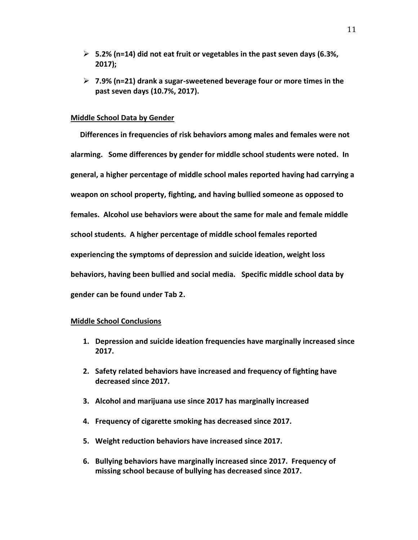- ➢ **5.2% (n=14) did not eat fruit or vegetables in the past seven days (6.3%, 2017);**
- ➢ **7.9% (n=21) drank a sugar-sweetened beverage four or more times in the past seven days (10.7%, 2017).**

#### **Middle School Data by Gender**

 **Differences in frequencies of risk behaviors among males and females were not alarming. Some differences by gender for middle school students were noted. In general, a higher percentage of middle school males reported having had carrying a weapon on school property, fighting, and having bullied someone as opposed to females. Alcohol use behaviors were about the same for male and female middle school students. A higher percentage of middle school females reported experiencing the symptoms of depression and suicide ideation, weight loss behaviors, having been bullied and social media. Specific middle school data by gender can be found under Tab 2.**

#### **Middle School Conclusions**

- **1. Depression and suicide ideation frequencies have marginally increased since 2017.**
- **2. Safety related behaviors have increased and frequency of fighting have decreased since 2017.**
- **3. Alcohol and marijuana use since 2017 has marginally increased**
- **4. Frequency of cigarette smoking has decreased since 2017.**
- **5. Weight reduction behaviors have increased since 2017.**
- **6. Bullying behaviors have marginally increased since 2017. Frequency of missing school because of bullying has decreased since 2017.**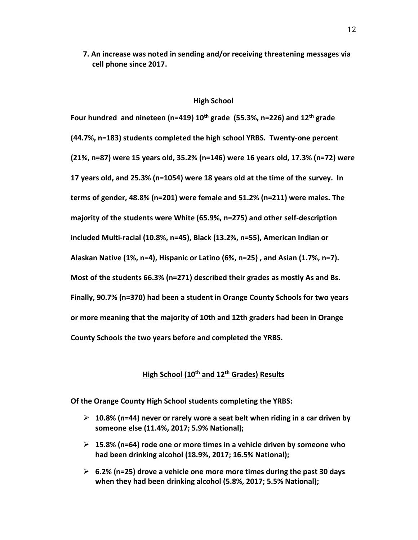**7. An increase was noted in sending and/or receiving threatening messages via cell phone since 2017.** 

#### **High School**

**Four hundred and nineteen (n=419) 10th grade (55.3%, n=226) and 12th grade (44.7%, n=183) students completed the high school YRBS. Twenty-one percent (21%, n=87) were 15 years old, 35.2% (n=146) were 16 years old, 17.3% (n=72) were 17 years old, and 25.3% (n=1054) were 18 years old at the time of the survey. In terms of gender, 48.8% (n=201) were female and 51.2% (n=211) were males. The majority of the students were White (65.9%, n=275) and other self-description included Multi-racial (10.8%, n=45), Black (13.2%, n=55), American Indian or Alaskan Native (1%, n=4), Hispanic or Latino (6%, n=25) , and Asian (1.7%, n=7). Most of the students 66.3% (n=271) described their grades as mostly As and Bs. Finally, 90.7% (n=370) had been a student in Orange County Schools for two years or more meaning that the majority of 10th and 12th graders had been in Orange County Schools the two years before and completed the YRBS.** 

#### **High School (10th and 12th Grades) Results**

**Of the Orange County High School students completing the YRBS:**

- ➢ **10.8% (n=44) never or rarely wore a seat belt when riding in a car driven by someone else (11.4%, 2017; 5.9% National);**
- ➢ **15.8% (n=64) rode one or more times in a vehicle driven by someone who had been drinking alcohol (18.9%, 2017; 16.5% National);**
- ➢ **6.2% (n=25) drove a vehicle one more more times during the past 30 days when they had been drinking alcohol (5.8%, 2017; 5.5% National);**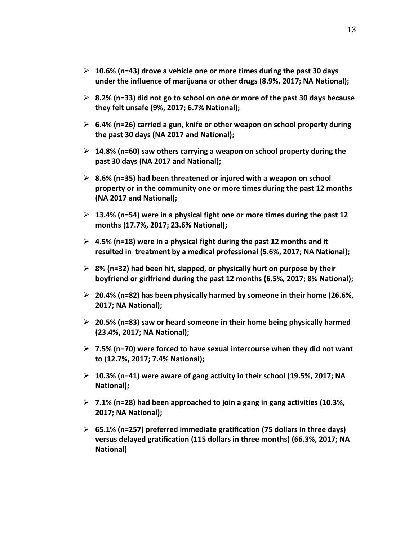- ➢ **10.6% (n=43) drove a vehicle one or more times during the past 30 days under the influence of marijuana or other drugs (8.9%, 2017; NA National);**
- ➢ **8.2% (n=33) did not go to school on one or more of the past 30 days because they felt unsafe (9%, 2017; 6.7% National);**
- ➢ **6.4% (n=26) carried a gun, knife or other weapon on school property during the past 30 days (NA 2017 and National);**
- ➢ **14.8% (n=60) saw others carrying a weapon on school property during the past 30 days (NA 2017 and National);**
- ➢ **8.6% (n=35) had been threatened or injured with a weapon on school property or in the community one or more times during the past 12 months (NA 2017 and National);**
- ➢ **13.4% (n=54) were in a physical fight one or more times during the past 12 months (17.7%, 2017; 23.6% National);**
- ➢ **4.5% (n=18) were in a physical fight during the past 12 months and it resulted in treatment by a medical professional (5.6%, 2017; NA National);**
- ➢ **8% (n=32) had been hit, slapped, or physically hurt on purpose by their boyfriend or girlfriend during the past 12 months (6.5%, 2017; 8% National);**
- ➢ **20.4% (n=82) has been physically harmed by someone in their home (26.6%, 2017; NA National);**
- ➢ **20.5% (n=83) saw or heard someone in their home being physically harmed (23.4%, 2017; NA National);**
- ➢ **7.5% (n=70) were forced to have sexual intercourse when they did not want to (12.7%, 2017; 7.4% National);**
- ➢ **10.3% (n=41) were aware of gang activity in their school (19.5%, 2017; NA National);**
- ➢ **7.1% (n=28) had been approached to join a gang in gang activities (10.3%, 2017; NA National);**
- ➢ **65.1% (n=257) preferred immediate gratification (75 dollars in three days) versus delayed gratification (115 dollars in three months) (66.3%, 2017; NA National)**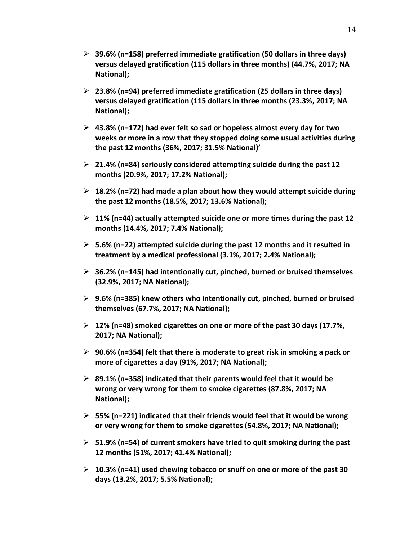- ➢ **39.6% (n=158) preferred immediate gratification (50 dollars in three days) versus delayed gratification (115 dollars in three months) (44.7%, 2017; NA National);**
- ➢ **23.8% (n=94) preferred immediate gratification (25 dollars in three days) versus delayed gratification (115 dollars in three months (23.3%, 2017; NA National);**
- ➢ **43.8% (n=172) had ever felt so sad or hopeless almost every day for two weeks or more in a row that they stopped doing some usual activities during the past 12 months (36%, 2017; 31.5% National)'**
- ➢ **21.4% (n=84) seriously considered attempting suicide during the past 12 months (20.9%, 2017; 17.2% National);**
- ➢ **18.2% (n=72) had made a plan about how they would attempt suicide during the past 12 months (18.5%, 2017; 13.6% National);**
- ➢ **11% (n=44) actually attempted suicide one or more times during the past 12 months (14.4%, 2017; 7.4% National);**
- ➢ **5.6% (n=22) attempted suicide during the past 12 months and it resulted in treatment by a medical professional (3.1%, 2017; 2.4% National);**
- ➢ **36.2% (n=145) had intentionally cut, pinched, burned or bruised themselves (32.9%, 2017; NA National);**
- ➢ **9.6% (n=385) knew others who intentionally cut, pinched, burned or bruised themselves (67.7%, 2017; NA National);**
- ➢ **12% (n=48) smoked cigarettes on one or more of the past 30 days (17.7%, 2017; NA National);**
- ➢ **90.6% (n=354) felt that there is moderate to great risk in smoking a pack or more of cigarettes a day (91%, 2017; NA National);**
- ➢ **89.1% (n=358) indicated that their parents would feel that it would be wrong or very wrong for them to smoke cigarettes (87.8%, 2017; NA National);**
- ➢ **55% (n=221) indicated that their friends would feel that it would be wrong or very wrong for them to smoke cigarettes (54.8%, 2017; NA National);**
- ➢ **51.9% (n=54) of current smokers have tried to quit smoking during the past 12 months (51%, 2017; 41.4% National);**
- ➢ **10.3% (n=41) used chewing tobacco or snuff on one or more of the past 30 days (13.2%, 2017; 5.5% National);**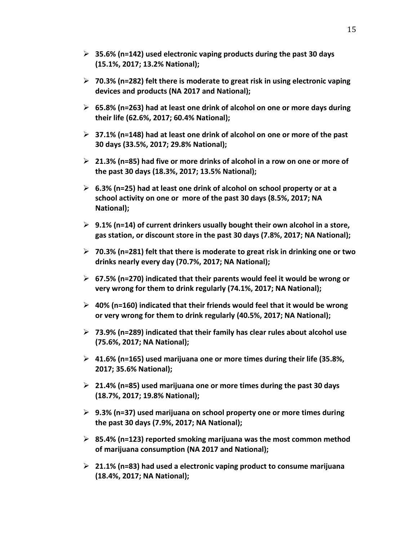- ➢ **35.6% (n=142) used electronic vaping products during the past 30 days (15.1%, 2017; 13.2% National);**
- ➢ **70.3% (n=282) felt there is moderate to great risk in using electronic vaping devices and products (NA 2017 and National);**
- ➢ **65.8% (n=263) had at least one drink of alcohol on one or more days during their life (62.6%, 2017; 60.4% National);**
- ➢ **37.1% (n=148) had at least one drink of alcohol on one or more of the past 30 days (33.5%, 2017; 29.8% National);**
- ➢ **21.3% (n=85) had five or more drinks of alcohol in a row on one or more of the past 30 days (18.3%, 2017; 13.5% National);**
- ➢ **6.3% (n=25) had at least one drink of alcohol on school property or at a school activity on one or more of the past 30 days (8.5%, 2017; NA National);**
- ➢ **9.1% (n=14) of current drinkers usually bought their own alcohol in a store, gas station, or discount store in the past 30 days (7.8%, 2017; NA National);**
- ➢ **70.3% (n=281) felt that there is moderate to great risk in drinking one or two drinks nearly every day (70.7%, 2017; NA National);**
- ➢ **67.5% (n=270) indicated that their parents would feel it would be wrong or very wrong for them to drink regularly (74.1%, 2017; NA National);**
- ➢ **40% (n=160) indicated that their friends would feel that it would be wrong or very wrong for them to drink regularly (40.5%, 2017; NA National);**
- ➢ **73.9% (n=289) indicated that their family has clear rules about alcohol use (75.6%, 2017; NA National);**
- ➢ **41.6% (n=165) used marijuana one or more times during their life (35.8%, 2017; 35.6% National);**
- ➢ **21.4% (n=85) used marijuana one or more times during the past 30 days (18.7%, 2017; 19.8% National);**
- ➢ **9.3% (n=37) used marijuana on school property one or more times during the past 30 days (7.9%, 2017; NA National);**
- ➢ **85.4% (n=123) reported smoking marijuana was the most common method of marijuana consumption (NA 2017 and National);**
- ➢ **21.1% (n=83) had used a electronic vaping product to consume marijuana (18.4%, 2017; NA National);**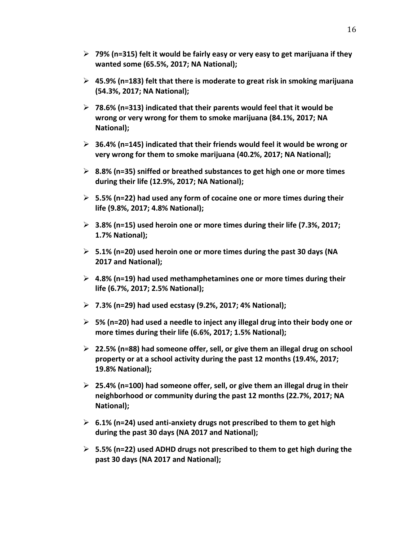- ➢ **79% (n=315) felt it would be fairly easy or very easy to get marijuana if they wanted some (65.5%, 2017; NA National);**
- ➢ **45.9% (n=183) felt that there is moderate to great risk in smoking marijuana (54.3%, 2017; NA National);**
- ➢ **78.6% (n=313) indicated that their parents would feel that it would be wrong or very wrong for them to smoke marijuana (84.1%, 2017; NA National);**
- ➢ **36.4% (n=145) indicated that their friends would feel it would be wrong or very wrong for them to smoke marijuana (40.2%, 2017; NA National);**
- ➢ **8.8% (n=35) sniffed or breathed substances to get high one or more times during their life (12.9%, 2017; NA National);**
- ➢ **5.5% (n=22) had used any form of cocaine one or more times during their life (9.8%, 2017; 4.8% National);**
- ➢ **3.8% (n=15) used heroin one or more times during their life (7.3%, 2017; 1.7% National);**
- ➢ **5.1% (n=20) used heroin one or more times during the past 30 days (NA 2017 and National);**
- ➢ **4.8% (n=19) had used methamphetamines one or more times during their life (6.7%, 2017; 2.5% National);**
- ➢ **7.3% (n=29) had used ecstasy (9.2%, 2017; 4% National);**
- ➢ **5% (n=20) had used a needle to inject any illegal drug into their body one or more times during their life (6.6%, 2017; 1.5% National);**
- ➢ **22.5% (n=88) had someone offer, sell, or give them an illegal drug on school property or at a school activity during the past 12 months (19.4%, 2017; 19.8% National);**
- ➢ **25.4% (n=100) had someone offer, sell, or give them an illegal drug in their neighborhood or community during the past 12 months (22.7%, 2017; NA National);**
- ➢ **6.1% (n=24) used anti-anxiety drugs not prescribed to them to get high during the past 30 days (NA 2017 and National);**
- ➢ **5.5% (n=22) used ADHD drugs not prescribed to them to get high during the past 30 days (NA 2017 and National);**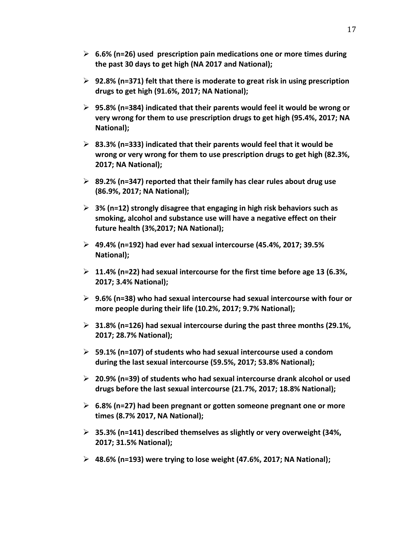- ➢ **6.6% (n=26) used prescription pain medications one or more times during the past 30 days to get high (NA 2017 and National);**
- ➢ **92.8% (n=371) felt that there is moderate to great risk in using prescription drugs to get high (91.6%, 2017; NA National);**
- ➢ **95.8% (n=384) indicated that their parents would feel it would be wrong or very wrong for them to use prescription drugs to get high (95.4%, 2017; NA National);**
- ➢ **83.3% (n=333) indicated that their parents would feel that it would be wrong or very wrong for them to use prescription drugs to get high (82.3%, 2017; NA National);**
- ➢ **89.2% (n=347) reported that their family has clear rules about drug use (86.9%, 2017; NA National);**
- ➢ **3% (n=12) strongly disagree that engaging in high risk behaviors such as smoking, alcohol and substance use will have a negative effect on their future health (3%,2017; NA National);**
- ➢ **49.4% (n=192) had ever had sexual intercourse (45.4%, 2017; 39.5% National);**
- ➢ **11.4% (n=22) had sexual intercourse for the first time before age 13 (6.3%, 2017; 3.4% National);**
- ➢ **9.6% (n=38) who had sexual intercourse had sexual intercourse with four or more people during their life (10.2%, 2017; 9.7% National);**
- ➢ **31.8% (n=126) had sexual intercourse during the past three months (29.1%, 2017; 28.7% National);**
- ➢ **59.1% (n=107) of students who had sexual intercourse used a condom during the last sexual intercourse (59.5%, 2017; 53.8% National);**
- ➢ **20.9% (n=39) of students who had sexual intercourse drank alcohol or used drugs before the last sexual intercourse (21.7%, 2017; 18.8% National);**
- ➢ **6.8% (n=27) had been pregnant or gotten someone pregnant one or more times (8.7% 2017, NA National);**
- ➢ **35.3% (n=141) described themselves as slightly or very overweight (34%, 2017; 31.5% National);**
- ➢ **48.6% (n=193) were trying to lose weight (47.6%, 2017; NA National);**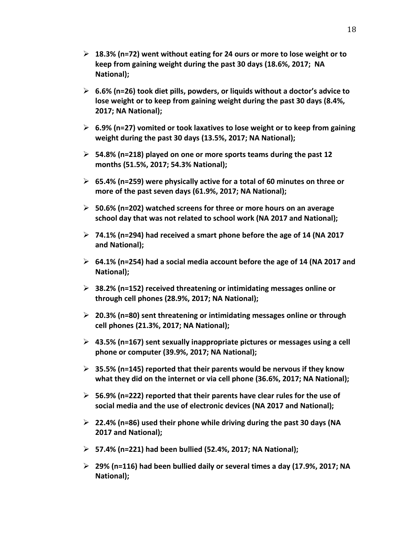- ➢ **18.3% (n=72) went without eating for 24 ours or more to lose weight or to keep from gaining weight during the past 30 days (18.6%, 2017; NA National);**
- ➢ **6.6% (n=26) took diet pills, powders, or liquids without a doctor's advice to lose weight or to keep from gaining weight during the past 30 days (8.4%, 2017; NA National);**
- ➢ **6.9% (n=27) vomited or took laxatives to lose weight or to keep from gaining weight during the past 30 days (13.5%, 2017; NA National);**
- ➢ **54.8% (n=218) played on one or more sports teams during the past 12 months (51.5%, 2017; 54.3% National);**
- ➢ **65.4% (n=259) were physically active for a total of 60 minutes on three or more of the past seven days (61.9%, 2017; NA National);**
- ➢ **50.6% (n=202) watched screens for three or more hours on an average school day that was not related to school work (NA 2017 and National);**
- ➢ **74.1% (n=294) had received a smart phone before the age of 14 (NA 2017 and National);**
- ➢ **64.1% (n=254) had a social media account before the age of 14 (NA 2017 and National);**
- ➢ **38.2% (n=152) received threatening or intimidating messages online or through cell phones (28.9%, 2017; NA National);**
- ➢ **20.3% (n=80) sent threatening or intimidating messages online or through cell phones (21.3%, 2017; NA National);**
- ➢ **43.5% (n=167) sent sexually inappropriate pictures or messages using a cell phone or computer (39.9%, 2017; NA National);**
- ➢ **35.5% (n=145) reported that their parents would be nervous if they know what they did on the internet or via cell phone (36.6%, 2017; NA National);**
- ➢ **56.9% (n=222) reported that their parents have clear rules for the use of social media and the use of electronic devices (NA 2017 and National);**
- ➢ **22.4% (n=86) used their phone while driving during the past 30 days (NA 2017 and National);**
- ➢ **57.4% (n=221) had been bullied (52.4%, 2017; NA National);**
- ➢ **29% (n=116) had been bullied daily or several times a day (17.9%, 2017; NA National);**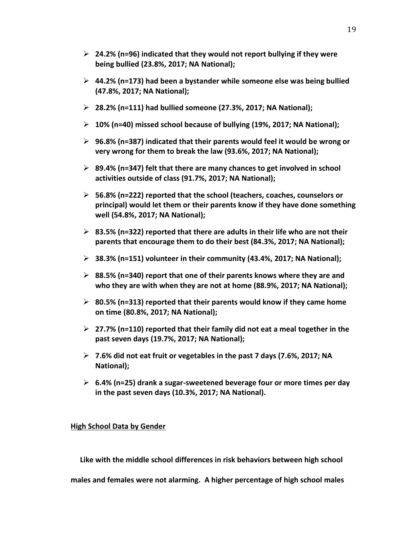- ➢ **24.2% (n=96) indicated that they would not report bullying if they were being bullied (23.8%, 2017; NA National);**
- ➢ **44.2% (n=173) had been a bystander while someone else was being bullied (47.8%, 2017; NA National);**
- ➢ **28.2% (n=111) had bullied someone (27.3%, 2017; NA National);**
- ➢ **10% (n=40) missed school because of bullying (19%, 2017; NA National);**
- ➢ **96.8% (n=387) indicated that their parents would feel it would be wrong or very wrong for them to break the law (93.6%, 2017; NA National);**
- ➢ **89.4% (n=347) felt that there are many chances to get involved in school activities outside of class (91.7%, 2017; NA National);**
- ➢ **56.8% (n=222) reported that the school (teachers, coaches, counselors or principal) would let them or their parents know if they have done something well (54.8%, 2017; NA National);**
- ➢ **83.5% (n=322) reported that there are adults in their life who are not their parents that encourage them to do their best (84.3%, 2017; NA National);**
- ➢ **38.3% (n=151) volunteer in their community (43.4%, 2017; NA National);**
- ➢ **88.5% (n=340) report that one of their parents knows where they are and who they are with when they are not at home (88.9%, 2017; NA National);**
- ➢ **80.5% (n=313) reported that their parents would know if they came home on time (80.8%, 2017; NA National);**
- ➢ **27.7% (n=110) reported that their family did not eat a meal together in the past seven days (19.7%, 2017; NA National);**
- ➢ **7.6% did not eat fruit or vegetables in the past 7 days (7.6%, 2017; NA National);**
- ➢ **6.4% (n=25) drank a sugar-sweetened beverage four or more times per day in the past seven days (10.3%, 2017; NA National).**

#### **High School Data by Gender**

 **Like with the middle school differences in risk behaviors between high school** 

**males and females were not alarming. A higher percentage of high school males**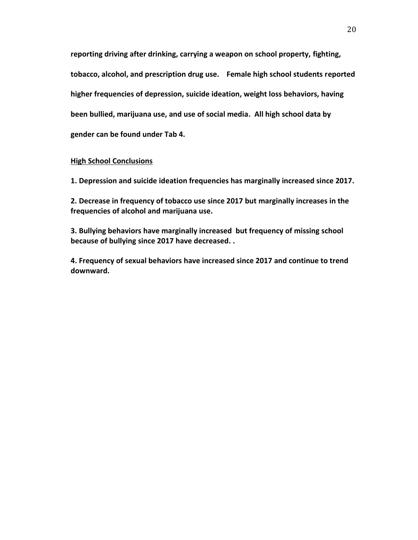**reporting driving after drinking, carrying a weapon on school property, fighting, tobacco, alcohol, and prescription drug use. Female high school students reported higher frequencies of depression, suicide ideation, weight loss behaviors, having been bullied, marijuana use, and use of social media. All high school data by gender can be found under Tab 4.** 

#### **High School Conclusions**

**1. Depression and suicide ideation frequencies has marginally increased since 2017.**

**2. Decrease in frequency of tobacco use since 2017 but marginally increases in the frequencies of alcohol and marijuana use.**

**3. Bullying behaviors have marginally increased but frequency of missing school because of bullying since 2017 have decreased. .** 

**4. Frequency of sexual behaviors have increased since 2017 and continue to trend downward.**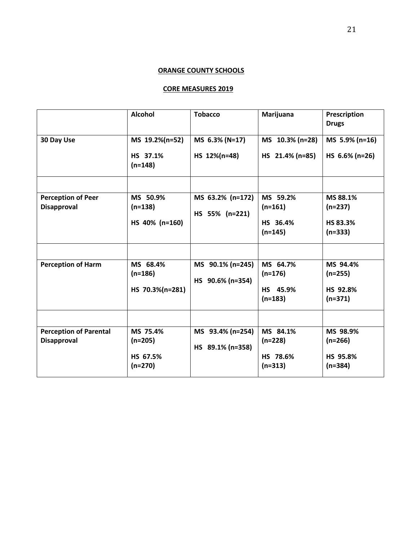#### **ORANGE COUNTY SCHOOLS**

#### **CORE MEASURES 2019**

|                                                     | <b>Alcohol</b>                                 | <b>Tobacco</b>                       | Marijuana                                      | Prescription<br><b>Drugs</b>                   |
|-----------------------------------------------------|------------------------------------------------|--------------------------------------|------------------------------------------------|------------------------------------------------|
| 30 Day Use                                          | MS 19.2%(n=52)<br>HS 37.1%<br>$(n=148)$        | MS 6.3% (N=17)<br>HS 12%(n=48)       | MS 10.3% (n=28)<br>HS 21.4% (n=85)             | MS 5.9% (n=16)<br>HS 6.6% (n=26)               |
|                                                     |                                                |                                      |                                                |                                                |
| <b>Perception of Peer</b><br><b>Disapproval</b>     | MS 50.9%<br>$(n=138)$<br>HS 40% (n=160)        | MS 63.2% (n=172)<br>HS 55% (n=221)   | MS 59.2%<br>$(n=161)$<br>HS 36.4%<br>$(n=145)$ | MS 88.1%<br>$(n=237)$<br>HS 83.3%<br>$(n=333)$ |
|                                                     |                                                |                                      |                                                |                                                |
| <b>Perception of Harm</b>                           | MS 68.4%<br>$(n=186)$<br>HS 70.3%(n=281)       | MS 90.1% (n=245)<br>HS 90.6% (n=354) | MS 64.7%<br>$(n=176)$<br>HS 45.9%<br>$(n=183)$ | MS 94.4%<br>$(n=255)$<br>HS 92.8%<br>$(n=371)$ |
|                                                     |                                                |                                      |                                                |                                                |
| <b>Perception of Parental</b><br><b>Disapproval</b> | MS 75.4%<br>$(n=205)$<br>HS 67.5%<br>$(n=270)$ | MS 93.4% (n=254)<br>HS 89.1% (n=358) | MS 84.1%<br>$(n=228)$<br>HS 78.6%<br>$(n=313)$ | MS 98.9%<br>$(n=266)$<br>HS 95.8%<br>$(n=384)$ |